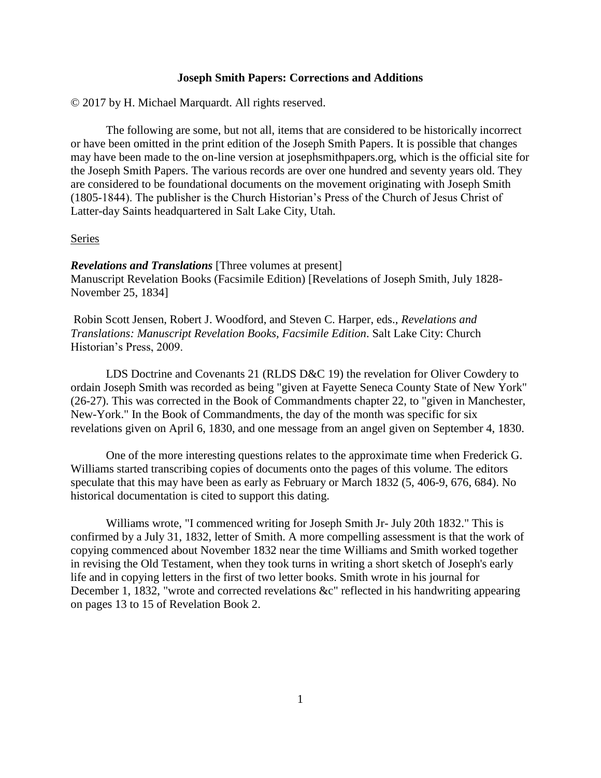### **Joseph Smith Papers: Corrections and Additions**

© 2017 by H. Michael Marquardt. All rights reserved.

The following are some, but not all, items that are considered to be historically incorrect or have been omitted in the print edition of the Joseph Smith Papers. It is possible that changes may have been made to the on-line version at josephsmithpapers.org, which is the official site for the Joseph Smith Papers. The various records are over one hundred and seventy years old. They are considered to be foundational documents on the movement originating with Joseph Smith (1805-1844). The publisher is the Church Historian's Press of the Church of Jesus Christ of Latter-day Saints headquartered in Salt Lake City, Utah.

#### Series

*Revelations and Translations* [Three volumes at present] Manuscript Revelation Books (Facsimile Edition) [Revelations of Joseph Smith, July 1828- November 25, 1834]

Robin Scott Jensen, Robert J. Woodford, and Steven C. Harper, eds., *Revelations and Translations: Manuscript Revelation Books, Facsimile Edition*. Salt Lake City: Church Historian's Press, 2009.

LDS Doctrine and Covenants 21 (RLDS D&C 19) the revelation for Oliver Cowdery to ordain Joseph Smith was recorded as being "given at Fayette Seneca County State of New York" (26-27). This was corrected in the Book of Commandments chapter 22, to "given in Manchester, New-York." In the Book of Commandments, the day of the month was specific for six revelations given on April 6, 1830, and one message from an angel given on September 4, 1830.

One of the more interesting questions relates to the approximate time when Frederick G. Williams started transcribing copies of documents onto the pages of this volume. The editors speculate that this may have been as early as February or March 1832 (5, 406-9, 676, 684). No historical documentation is cited to support this dating.

Williams wrote, "I commenced writing for Joseph Smith Jr- July 20th 1832." This is confirmed by a July 31, 1832, letter of Smith. A more compelling assessment is that the work of copying commenced about November 1832 near the time Williams and Smith worked together in revising the Old Testament, when they took turns in writing a short sketch of Joseph's early life and in copying letters in the first of two letter books. Smith wrote in his journal for December 1, 1832, "wrote and corrected revelations &c" reflected in his handwriting appearing on pages 13 to 15 of Revelation Book 2.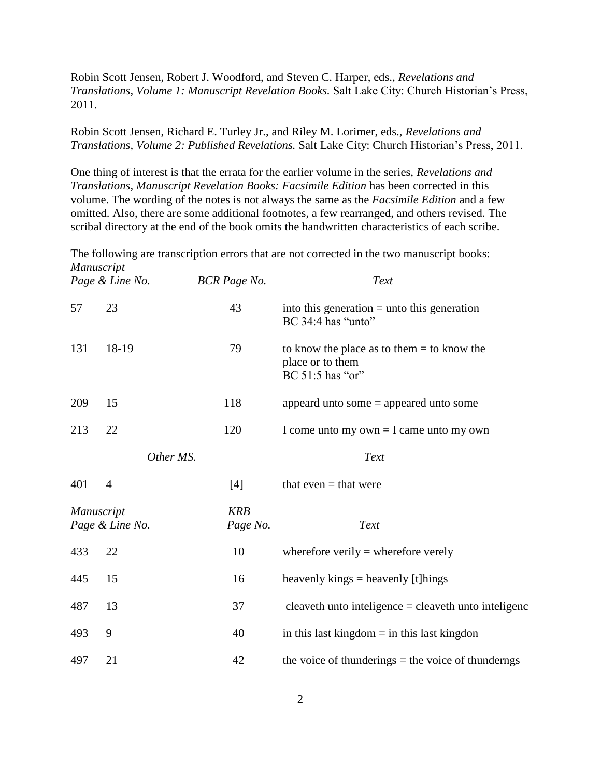Robin Scott Jensen, Robert J. Woodford, and Steven C. Harper, eds., *Revelations and Translations, Volume 1: Manuscript Revelation Books.* Salt Lake City: Church Historian's Press, 2011.

Robin Scott Jensen, Richard E. Turley Jr., and Riley M. Lorimer, eds., *Revelations and Translations, Volume 2: Published Revelations.* Salt Lake City: Church Historian's Press, 2011.

One thing of interest is that the errata for the earlier volume in the series, *Revelations and Translations, Manuscript Revelation Books: Facsimile Edition* has been corrected in this volume. The wording of the notes is not always the same as the *Facsimile Edition* and a few omitted. Also, there are some additional footnotes, a few rearranged, and others revised. The scribal directory at the end of the book omits the handwritten characteristics of each scribe.

The following are transcription errors that are not corrected in the two manuscript books: *Manuscript* 

|                                                         | Page & Line No. | <b>BCR</b> Page No. | Text                                                                                 |
|---------------------------------------------------------|-----------------|---------------------|--------------------------------------------------------------------------------------|
| 57                                                      | 23              | 43                  | into this generation $=$ unto this generation<br>BC 34:4 has "unto"                  |
| 131                                                     | 18-19           | 79                  | to know the place as to them $=$ to know the<br>place or to them<br>BC 51:5 has "or" |
| 209                                                     | 15              | 118                 | appeard unto some $=$ appeared unto some                                             |
| 213                                                     | 22              | 120                 | I come unto my own $=$ I came unto my own                                            |
|                                                         | Other MS.       |                     | Text                                                                                 |
| 401                                                     | $\overline{4}$  | $[4]$               | that even $=$ that were                                                              |
| <b>KRB</b><br>Manuscript<br>Page & Line No.<br>Page No. |                 |                     | Text                                                                                 |
| 433                                                     | 22              | 10                  | wherefore verily $=$ wherefore verely                                                |
| 445                                                     | 15              | 16                  | heavenly kings $=$ heavenly [t] hings                                                |
| 487                                                     | 13              | 37                  | cleaveth unto inteligence $=$ cleaveth unto inteligence                              |
| 493                                                     | 9               | 40                  | in this last kingdom $=$ in this last kingdon                                        |
| 497                                                     | 21              | 42                  | the voice of thunderings $=$ the voice of thunderngs                                 |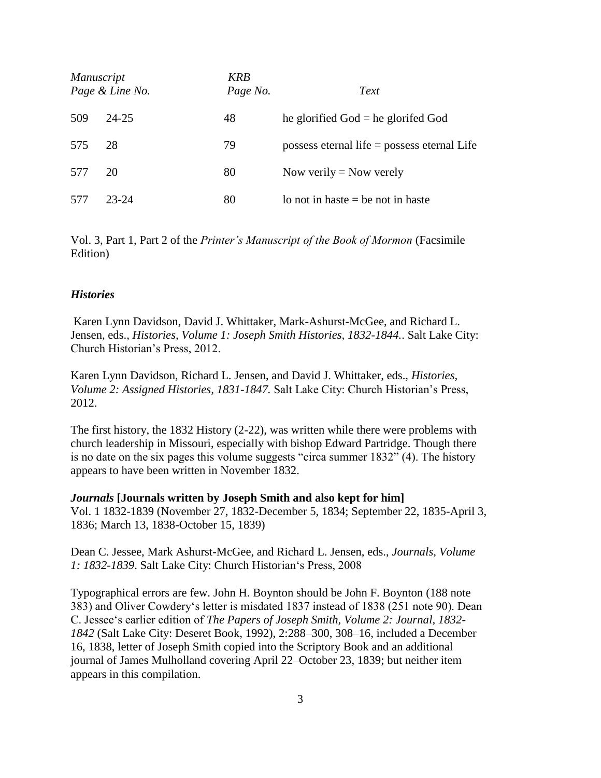| <i>Manuscript</i> | Page & Line No. | <b>KRB</b><br>Page No. | Text                                          |
|-------------------|-----------------|------------------------|-----------------------------------------------|
| 509               | 24-25           | 48                     | he glorified $God = he$ glorifed $God$        |
| 575               | 28              | 79                     | possess eternal life $=$ possess eternal Life |
| 577               | 20              | 80                     | Now verily $=$ Now verely                     |
| 577               | 23-24           | 80                     | lo not in haste $=$ be not in haste           |

Vol. 3, Part 1, Part 2 of the *Printer's Manuscript of the Book of Mormon* (Facsimile Edition)

### *Histories*

Karen Lynn Davidson, David J. Whittaker, Mark-Ashurst-McGee, and Richard L. Jensen, eds., *Histories, Volume 1: Joseph Smith Histories, 1832-1844.*. Salt Lake City: Church Historian's Press, 2012.

Karen Lynn Davidson, Richard L. Jensen, and David J. Whittaker, eds., *Histories, Volume 2: Assigned Histories, 1831-1847.* Salt Lake City: Church Historian's Press, 2012.

The first history, the 1832 History (2-22), was written while there were problems with church leadership in Missouri, especially with bishop Edward Partridge. Though there is no date on the six pages this volume suggests "circa summer 1832" (4). The history appears to have been written in November 1832.

#### *Journals* **[Journals written by Joseph Smith and also kept for him]**

Vol. 1 1832-1839 (November 27, 1832-December 5, 1834; September 22, 1835-April 3, 1836; March 13, 1838-October 15, 1839)

Dean C. Jessee, Mark Ashurst-McGee, and Richard L. Jensen, eds., *Journals, Volume 1: 1832-1839*. Salt Lake City: Church Historian's Press, 2008

Typographical errors are few. John H. Boynton should be John F. Boynton (188 note 383) and Oliver Cowdery's letter is misdated 1837 instead of 1838 (251 note 90). Dean C. Jessee's earlier edition of *The Papers of Joseph Smith, Volume 2: Journal, 1832- 1842* (Salt Lake City: Deseret Book, 1992), 2:288–300, 308–16, included a December 16, 1838, letter of Joseph Smith copied into the Scriptory Book and an additional journal of James Mulholland covering April 22–October 23, 1839; but neither item appears in this compilation.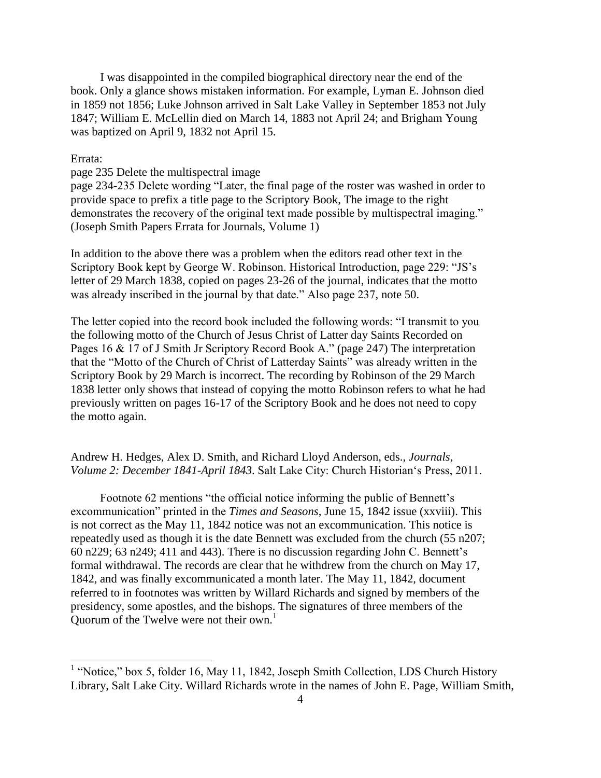I was disappointed in the compiled biographical directory near the end of the book. Only a glance shows mistaken information. For example, Lyman E. Johnson died in 1859 not 1856; Luke Johnson arrived in Salt Lake Valley in September 1853 not July 1847; William E. McLellin died on March 14, 1883 not April 24; and Brigham Young was baptized on April 9, 1832 not April 15.

# Errata:

## page 235 Delete the multispectral image

page 234-235 Delete wording "Later, the final page of the roster was washed in order to provide space to prefix a title page to the Scriptory Book, The image to the right demonstrates the recovery of the original text made possible by multispectral imaging." (Joseph Smith Papers Errata for Journals, Volume 1)

In addition to the above there was a problem when the editors read other text in the Scriptory Book kept by George W. Robinson. Historical Introduction, page 229: "JS's letter of 29 March 1838, copied on pages 23-26 of the journal, indicates that the motto was already inscribed in the journal by that date." Also page 237, note 50.

The letter copied into the record book included the following words: "I transmit to you the following motto of the Church of Jesus Christ of Latter day Saints Recorded on Pages 16 & 17 of J Smith Jr Scriptory Record Book A." (page 247) The interpretation that the "Motto of the Church of Christ of Latterday Saints" was already written in the Scriptory Book by 29 March is incorrect. The recording by Robinson of the 29 March 1838 letter only shows that instead of copying the motto Robinson refers to what he had previously written on pages 16-17 of the Scriptory Book and he does not need to copy the motto again.

Andrew H. Hedges, Alex D. Smith, and Richard Lloyd Anderson, eds., *Journals, Volume 2: December 1841-April 1843*. Salt Lake City: Church Historian's Press, 2011.

 Footnote 62 mentions "the official notice informing the public of Bennett's excommunication" printed in the *Times and Seasons*, June 15, 1842 issue (xxviii). This is not correct as the May 11, 1842 notice was not an excommunication. This notice is repeatedly used as though it is the date Bennett was excluded from the church (55 n207; 60 n229; 63 n249; 411 and 443). There is no discussion regarding John C. Bennett's formal withdrawal. The records are clear that he withdrew from the church on May 17, 1842, and was finally excommunicated a month later. The May 11, 1842, document referred to in footnotes was written by Willard Richards and signed by members of the presidency, some apostles, and the bishops. The signatures of three members of the Quorum of the Twelve were not their own.<sup>1</sup>

<sup>&</sup>lt;sup>1</sup> "Notice," box 5, folder 16, May 11, 1842, Joseph Smith Collection, LDS Church History Library, Salt Lake City. Willard Richards wrote in the names of John E. Page, William Smith,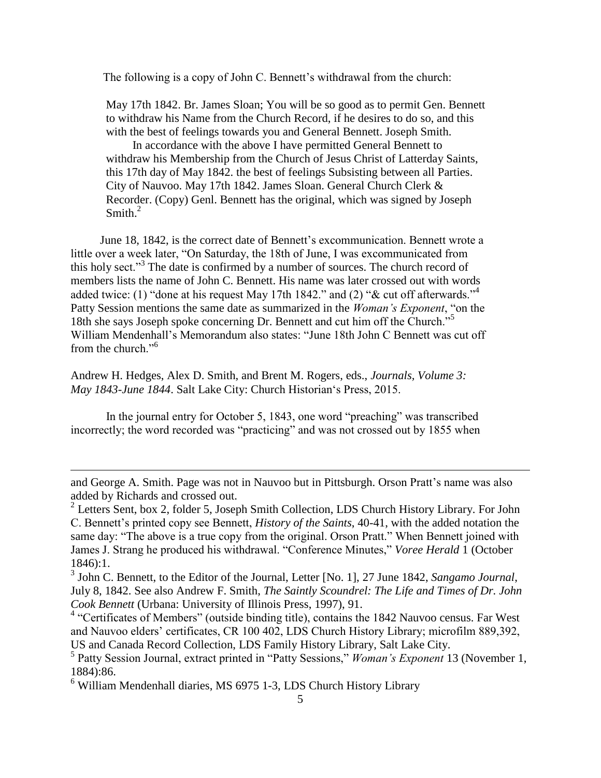The following is a copy of John C. Bennett's withdrawal from the church:

 May 17th 1842. Br. James Sloan; You will be so good as to permit Gen. Bennett to withdraw his Name from the Church Record, if he desires to do so, and this with the best of feelings towards you and General Bennett. Joseph Smith.

 In accordance with the above I have permitted General Bennett to withdraw his Membership from the Church of Jesus Christ of Latterday Saints, this 17th day of May 1842. the best of feelings Subsisting between all Parties. City of Nauvoo. May 17th 1842. James Sloan. General Church Clerk & Recorder. (Copy) Genl. Bennett has the original, which was signed by Joseph Smith $^2$ 

 June 18, 1842, is the correct date of Bennett's excommunication. Bennett wrote a little over a week later, "On Saturday, the 18th of June, I was excommunicated from this holy sect."<sup>3</sup> The date is confirmed by a number of sources. The church record of members lists the name of John C. Bennett. His name was later crossed out with words added twice: (1) "done at his request May 17th 1842." and (2) "& cut off afterwards."<sup>4</sup> Patty Session mentions the same date as summarized in the *Woman's Exponent*, "on the 18th she says Joseph spoke concerning Dr. Bennett and cut him off the Church."<sup>5</sup> William Mendenhall's Memorandum also states: "June 18th John C Bennett was cut off from the church."<sup>6</sup>

Andrew H. Hedges, Alex D. Smith, and Brent M. Rogers, eds., *Journals, Volume 3: May 1843-June 1844*. Salt Lake City: Church Historian's Press, 2015.

 In the journal entry for October 5, 1843, one word "preaching" was transcribed incorrectly; the word recorded was "practicing" and was not crossed out by 1855 when

 $\overline{\phantom{a}}$ 

and George A. Smith. Page was not in Nauvoo but in Pittsburgh. Orson Pratt's name was also added by Richards and crossed out.

 $2^2$  Letters Sent, box 2, folder 5, Joseph Smith Collection, LDS Church History Library. For John C. Bennett's printed copy see Bennett, *History of the Saints*, 40-41, with the added notation the same day: "The above is a true copy from the original. Orson Pratt." When Bennett joined with James J. Strang he produced his withdrawal. "Conference Minutes," *Voree Herald* 1 (October 1846):1.

<sup>3</sup> John C. Bennett, to the Editor of the Journal, Letter [No. 1], 27 June 1842, *Sangamo Journal*, July 8, 1842. See also Andrew F. Smith, *The Saintly Scoundrel: The Life and Times of Dr. John Cook Bennett* (Urbana: University of Illinois Press, 1997), 91.

<sup>&</sup>lt;sup>4</sup> "Certificates of Members" (outside binding title), contains the 1842 Nauvoo census. Far West and Nauvoo elders' certificates, CR 100 402, LDS Church History Library; microfilm 889,392, US and Canada Record Collection, LDS Family History Library, Salt Lake City.

<sup>5</sup> Patty Session Journal, extract printed in "Patty Sessions," *Woman's Exponent* 13 (November 1, 1884):86.

<sup>6</sup> William Mendenhall diaries, MS 6975 1-3, LDS Church History Library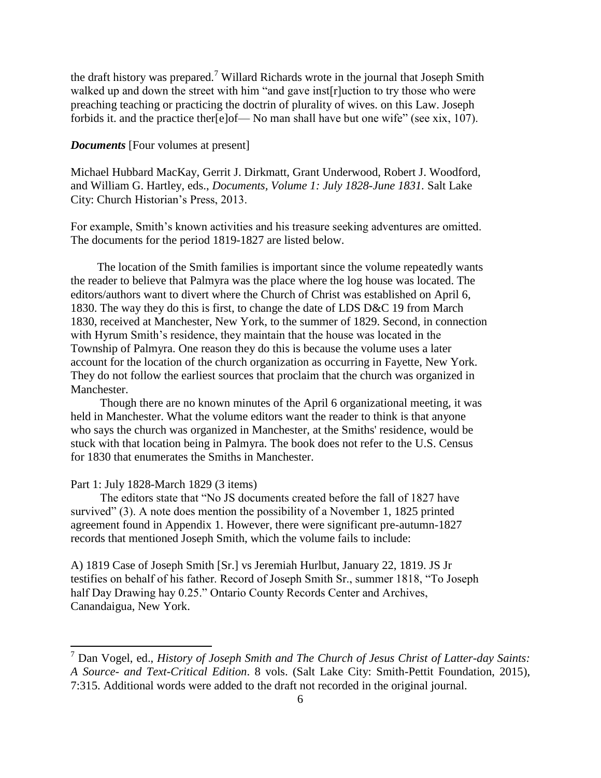the draft history was prepared.<sup>7</sup> Willard Richards wrote in the journal that Joseph Smith walked up and down the street with him "and gave inst[r]uction to try those who were preaching teaching or practicing the doctrin of plurality of wives. on this Law. Joseph forbids it. and the practice ther[e]of— No man shall have but one wife" (see xix, 107).

## *Documents* [Four volumes at present]

Michael Hubbard MacKay, Gerrit J. Dirkmatt, Grant Underwood, Robert J. Woodford, and William G. Hartley, eds., *Documents, Volume 1: July 1828-June 1831.* Salt Lake City: Church Historian's Press, 2013.

For example, Smith's known activities and his treasure seeking adventures are omitted. The documents for the period 1819-1827 are listed below.

 The location of the Smith families is important since the volume repeatedly wants the reader to believe that Palmyra was the place where the log house was located. The editors/authors want to divert where the Church of Christ was established on April 6, 1830. The way they do this is first, to change the date of LDS D&C 19 from March 1830, received at Manchester, New York, to the summer of 1829. Second, in connection with Hyrum Smith's residence, they maintain that the house was located in the Township of Palmyra. One reason they do this is because the volume uses a later account for the location of the church organization as occurring in Fayette, New York. They do not follow the earliest sources that proclaim that the church was organized in Manchester.

 Though there are no known minutes of the April 6 organizational meeting, it was held in Manchester. What the volume editors want the reader to think is that anyone who says the church was organized in Manchester, at the Smiths' residence, would be stuck with that location being in Palmyra. The book does not refer to the U.S. Census for 1830 that enumerates the Smiths in Manchester.

### Part 1: July 1828-March 1829 (3 items)

l

 The editors state that "No JS documents created before the fall of 1827 have survived" (3). A note does mention the possibility of a November 1, 1825 printed agreement found in Appendix 1. However, there were significant pre-autumn-1827 records that mentioned Joseph Smith, which the volume fails to include:

A) 1819 Case of Joseph Smith [Sr.] vs Jeremiah Hurlbut, January 22, 1819. JS Jr testifies on behalf of his father. Record of Joseph Smith Sr., summer 1818, "To Joseph half Day Drawing hay 0.25." Ontario County Records Center and Archives, Canandaigua, New York.

<sup>7</sup> Dan Vogel, ed., *History of Joseph Smith and The Church of Jesus Christ of Latter-day Saints: A Source- and Text-Critical Edition*. 8 vols. (Salt Lake City: Smith-Pettit Foundation, 2015), 7:315. Additional words were added to the draft not recorded in the original journal.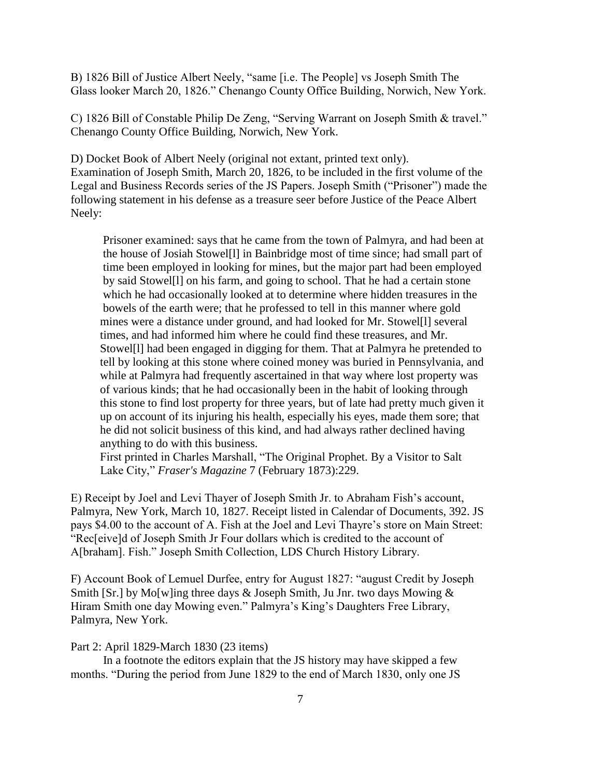B) 1826 Bill of Justice Albert Neely, "same [i.e. The People] vs Joseph Smith The Glass looker March 20, 1826." Chenango County Office Building, Norwich, New York.

C) 1826 Bill of Constable Philip De Zeng, "Serving Warrant on Joseph Smith & travel." Chenango County Office Building, Norwich, New York.

D) Docket Book of Albert Neely (original not extant, printed text only). Examination of Joseph Smith, March 20, 1826, to be included in the first volume of the Legal and Business Records series of the JS Papers. Joseph Smith ("Prisoner") made the following statement in his defense as a treasure seer before Justice of the Peace Albert Neely:

 Prisoner examined: says that he came from the town of Palmyra, and had been at the house of Josiah Stowel[l] in Bainbridge most of time since; had small part of time been employed in looking for mines, but the major part had been employed by said Stowel[l] on his farm, and going to school. That he had a certain stone which he had occasionally looked at to determine where hidden treasures in the bowels of the earth were; that he professed to tell in this manner where gold mines were a distance under ground, and had looked for Mr. Stowel[l] several times, and had informed him where he could find these treasures, and Mr. Stowel[l] had been engaged in digging for them. That at Palmyra he pretended to tell by looking at this stone where coined money was buried in Pennsylvania, and while at Palmyra had frequently ascertained in that way where lost property was of various kinds; that he had occasionally been in the habit of looking through this stone to find lost property for three years, but of late had pretty much given it up on account of its injuring his health, especially his eyes, made them sore; that he did not solicit business of this kind, and had always rather declined having anything to do with this business.

 First printed in Charles Marshall, "The Original Prophet. By a Visitor to Salt Lake City," *Fraser's Magazine* 7 (February 1873):229.

E) Receipt by Joel and Levi Thayer of Joseph Smith Jr. to Abraham Fish's account, Palmyra, New York, March 10, 1827. Receipt listed in Calendar of Documents, 392. JS pays \$4.00 to the account of A. Fish at the Joel and Levi Thayre's store on Main Street: "Rec[eive]d of Joseph Smith Jr Four dollars which is credited to the account of A[braham]. Fish." Joseph Smith Collection, LDS Church History Library.

F) Account Book of Lemuel Durfee, entry for August 1827: "august Credit by Joseph Smith [Sr.] by Mo[w]ing three days  $\&$  Joseph Smith, Ju Jnr. two days Mowing  $\&$ Hiram Smith one day Mowing even." Palmyra's King's Daughters Free Library, Palmyra, New York.

#### Part 2: April 1829-March 1830 (23 items)

 In a footnote the editors explain that the JS history may have skipped a few months. "During the period from June 1829 to the end of March 1830, only one JS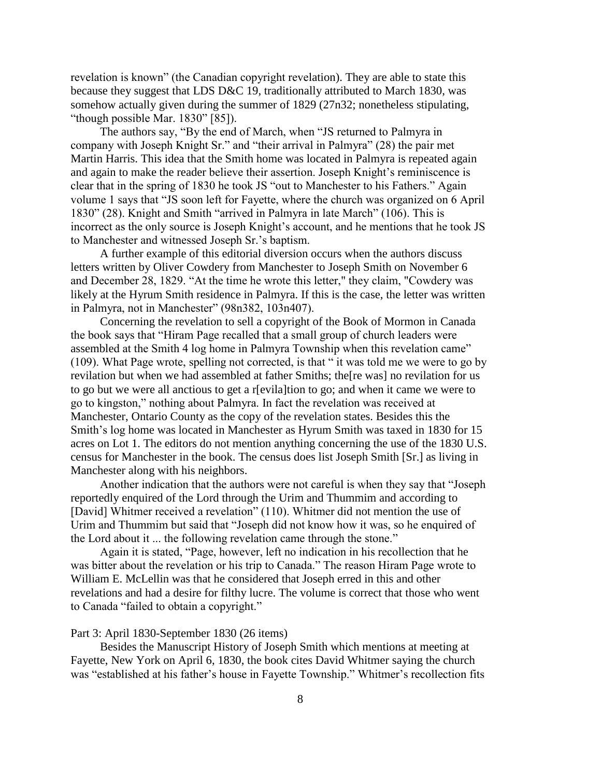revelation is known" (the Canadian copyright revelation). They are able to state this because they suggest that LDS D&C 19, traditionally attributed to March 1830, was somehow actually given during the summer of 1829 (27n32; nonetheless stipulating, "though possible Mar. 1830" [85]).

 The authors say, "By the end of March, when "JS returned to Palmyra in company with Joseph Knight Sr." and "their arrival in Palmyra" (28) the pair met Martin Harris. This idea that the Smith home was located in Palmyra is repeated again and again to make the reader believe their assertion. Joseph Knight's reminiscence is clear that in the spring of 1830 he took JS "out to Manchester to his Fathers." Again volume 1 says that "JS soon left for Fayette, where the church was organized on 6 April 1830" (28). Knight and Smith "arrived in Palmyra in late March" (106). This is incorrect as the only source is Joseph Knight's account, and he mentions that he took JS to Manchester and witnessed Joseph Sr.'s baptism.

 A further example of this editorial diversion occurs when the authors discuss letters written by Oliver Cowdery from Manchester to Joseph Smith on November 6 and December 28, 1829. "At the time he wrote this letter," they claim, "Cowdery was likely at the Hyrum Smith residence in Palmyra. If this is the case, the letter was written in Palmyra, not in Manchester" (98n382, 103n407).

 Concerning the revelation to sell a copyright of the Book of Mormon in Canada the book says that "Hiram Page recalled that a small group of church leaders were assembled at the Smith 4 log home in Palmyra Township when this revelation came" (109). What Page wrote, spelling not corrected, is that " it was told me we were to go by revilation but when we had assembled at father Smiths; the[re was] no revilation for us to go but we were all anctious to get a r[evila]tion to go; and when it came we were to go to kingston," nothing about Palmyra. In fact the revelation was received at Manchester, Ontario County as the copy of the revelation states. Besides this the Smith's log home was located in Manchester as Hyrum Smith was taxed in 1830 for 15 acres on Lot 1. The editors do not mention anything concerning the use of the 1830 U.S. census for Manchester in the book. The census does list Joseph Smith [Sr.] as living in Manchester along with his neighbors.

 Another indication that the authors were not careful is when they say that "Joseph reportedly enquired of the Lord through the Urim and Thummim and according to [David] Whitmer received a revelation" (110). Whitmer did not mention the use of Urim and Thummim but said that "Joseph did not know how it was, so he enquired of the Lord about it ... the following revelation came through the stone."

 Again it is stated, "Page, however, left no indication in his recollection that he was bitter about the revelation or his trip to Canada." The reason Hiram Page wrote to William E. McLellin was that he considered that Joseph erred in this and other revelations and had a desire for filthy lucre. The volume is correct that those who went to Canada "failed to obtain a copyright."

#### Part 3: April 1830-September 1830 (26 items)

 Besides the Manuscript History of Joseph Smith which mentions at meeting at Fayette, New York on April 6, 1830, the book cites David Whitmer saying the church was "established at his father's house in Fayette Township." Whitmer's recollection fits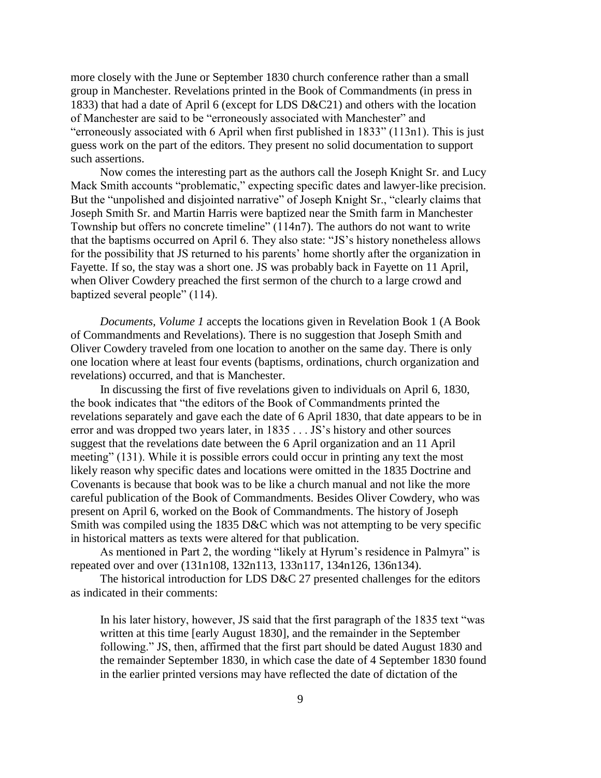more closely with the June or September 1830 church conference rather than a small group in Manchester. Revelations printed in the Book of Commandments (in press in 1833) that had a date of April 6 (except for LDS D&C21) and others with the location of Manchester are said to be "erroneously associated with Manchester" and "erroneously associated with 6 April when first published in 1833" (113n1). This is just guess work on the part of the editors. They present no solid documentation to support such assertions.

 Now comes the interesting part as the authors call the Joseph Knight Sr. and Lucy Mack Smith accounts "problematic," expecting specific dates and lawyer-like precision. But the "unpolished and disjointed narrative" of Joseph Knight Sr., "clearly claims that Joseph Smith Sr. and Martin Harris were baptized near the Smith farm in Manchester Township but offers no concrete timeline" (114n7). The authors do not want to write that the baptisms occurred on April 6. They also state: "JS's history nonetheless allows for the possibility that JS returned to his parents' home shortly after the organization in Fayette. If so, the stay was a short one. JS was probably back in Fayette on 11 April, when Oliver Cowdery preached the first sermon of the church to a large crowd and baptized several people" (114).

 *Documents, Volume 1* accepts the locations given in Revelation Book 1 (A Book of Commandments and Revelations). There is no suggestion that Joseph Smith and Oliver Cowdery traveled from one location to another on the same day. There is only one location where at least four events (baptisms, ordinations, church organization and revelations) occurred, and that is Manchester.

 In discussing the first of five revelations given to individuals on April 6, 1830, the book indicates that "the editors of the Book of Commandments printed the revelations separately and gave each the date of 6 April 1830, that date appears to be in error and was dropped two years later, in 1835 . . . JS's history and other sources suggest that the revelations date between the 6 April organization and an 11 April meeting" (131). While it is possible errors could occur in printing any text the most likely reason why specific dates and locations were omitted in the 1835 Doctrine and Covenants is because that book was to be like a church manual and not like the more careful publication of the Book of Commandments. Besides Oliver Cowdery, who was present on April 6, worked on the Book of Commandments. The history of Joseph Smith was compiled using the 1835 D&C which was not attempting to be very specific in historical matters as texts were altered for that publication.

 As mentioned in Part 2, the wording "likely at Hyrum's residence in Palmyra" is repeated over and over (131n108, 132n113, 133n117, 134n126, 136n134).

The historical introduction for LDS D&C 27 presented challenges for the editors as indicated in their comments:

 In his later history, however, JS said that the first paragraph of the 1835 text "was written at this time [early August 1830], and the remainder in the September following." JS, then, affirmed that the first part should be dated August 1830 and the remainder September 1830, in which case the date of 4 September 1830 found in the earlier printed versions may have reflected the date of dictation of the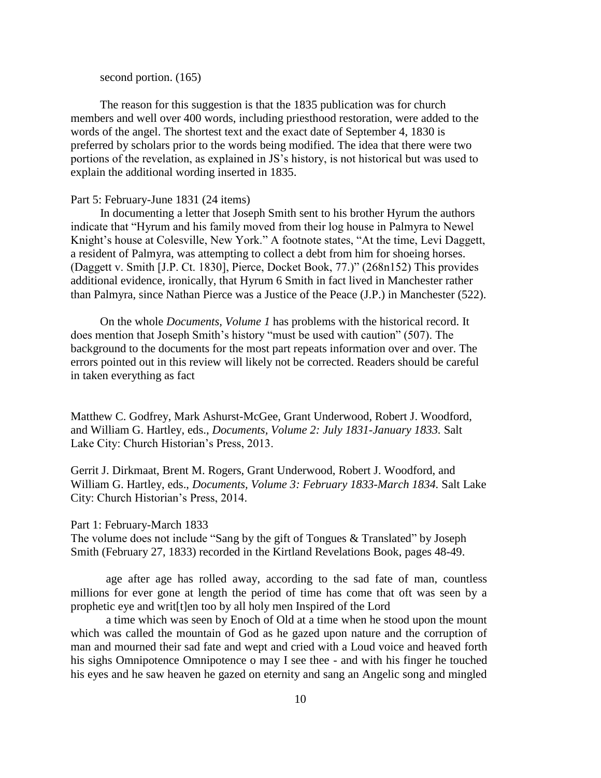second portion. (165)

 The reason for this suggestion is that the 1835 publication was for church members and well over 400 words, including priesthood restoration, were added to the words of the angel. The shortest text and the exact date of September 4, 1830 is preferred by scholars prior to the words being modified. The idea that there were two portions of the revelation, as explained in JS's history, is not historical but was used to explain the additional wording inserted in 1835.

#### Part 5: February-June 1831 (24 items)

 In documenting a letter that Joseph Smith sent to his brother Hyrum the authors indicate that "Hyrum and his family moved from their log house in Palmyra to Newel Knight's house at Colesville, New York." A footnote states, "At the time, Levi Daggett, a resident of Palmyra, was attempting to collect a debt from him for shoeing horses. (Daggett v. Smith [J.P. Ct. 1830], Pierce, Docket Book, 77.)" (268n152) This provides additional evidence, ironically, that Hyrum 6 Smith in fact lived in Manchester rather than Palmyra, since Nathan Pierce was a Justice of the Peace (J.P.) in Manchester (522).

 On the whole *Documents, Volume 1* has problems with the historical record. It does mention that Joseph Smith's history "must be used with caution" (507). The background to the documents for the most part repeats information over and over. The errors pointed out in this review will likely not be corrected. Readers should be careful in taken everything as fact

Matthew C. Godfrey, Mark Ashurst-McGee, Grant Underwood, Robert J. Woodford, and William G. Hartley, eds., *Documents, Volume 2: July 1831-January 1833.* Salt Lake City: Church Historian's Press, 2013.

Gerrit J. Dirkmaat, Brent M. Rogers, Grant Underwood, Robert J. Woodford, and William G. Hartley, eds., *Documents, Volume 3: February 1833-March 1834.* Salt Lake City: Church Historian's Press, 2014.

#### Part 1: February-March 1833

The volume does not include "Sang by the gift of Tongues & Translated" by Joseph Smith (February 27, 1833) recorded in the Kirtland Revelations Book, pages 48-49.

age after age has rolled away, according to the sad fate of man, countless millions for ever gone at length the period of time has come that oft was seen by a prophetic eye and writ[t]en too by all holy men Inspired of the Lord

a time which was seen by Enoch of Old at a time when he stood upon the mount which was called the mountain of God as he gazed upon nature and the corruption of man and mourned their sad fate and wept and cried with a Loud voice and heaved forth his sighs Omnipotence Omnipotence o may I see thee - and with his finger he touched his eyes and he saw heaven he gazed on eternity and sang an Angelic song and mingled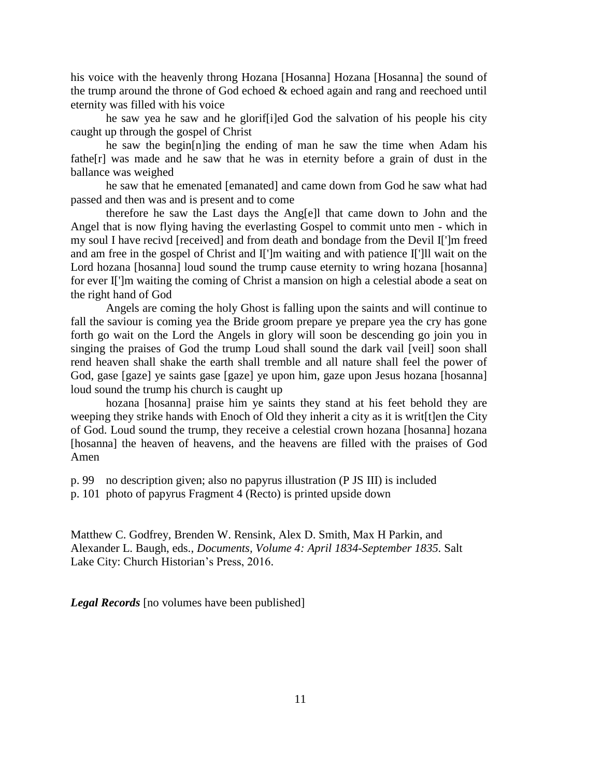his voice with the heavenly throng Hozana [Hosanna] Hozana [Hosanna] the sound of the trump around the throne of God echoed & echoed again and rang and reechoed until eternity was filled with his voice

he saw yea he saw and he glorif[i]ed God the salvation of his people his city caught up through the gospel of Christ

he saw the begin[n]ing the ending of man he saw the time when Adam his fathe[r] was made and he saw that he was in eternity before a grain of dust in the ballance was weighed

he saw that he emenated [emanated] and came down from God he saw what had passed and then was and is present and to come

therefore he saw the Last days the Ang[e]l that came down to John and the Angel that is now flying having the everlasting Gospel to commit unto men - which in my soul I have recivd [received] and from death and bondage from the Devil I[']m freed and am free in the gospel of Christ and I[']m waiting and with patience I[']ll wait on the Lord hozana [hosanna] loud sound the trump cause eternity to wring hozana [hosanna] for ever I[']m waiting the coming of Christ a mansion on high a celestial abode a seat on the right hand of God

Angels are coming the holy Ghost is falling upon the saints and will continue to fall the saviour is coming yea the Bride groom prepare ye prepare yea the cry has gone forth go wait on the Lord the Angels in glory will soon be descending go join you in singing the praises of God the trump Loud shall sound the dark vail [veil] soon shall rend heaven shall shake the earth shall tremble and all nature shall feel the power of God, gase [gaze] ye saints gase [gaze] ye upon him, gaze upon Jesus hozana [hosanna] loud sound the trump his church is caught up

hozana [hosanna] praise him ye saints they stand at his feet behold they are weeping they strike hands with Enoch of Old they inherit a city as it is writ[t]en the City of God. Loud sound the trump, they receive a celestial crown hozana [hosanna] hozana [hosanna] the heaven of heavens, and the heavens are filled with the praises of God Amen

p. 99 no description given; also no papyrus illustration (P JS III) is included

p. 101 photo of papyrus Fragment 4 (Recto) is printed upside down

Matthew C. Godfrey, Brenden W. Rensink, Alex D. Smith, Max H Parkin, and Alexander L. Baugh, eds., *Documents, Volume 4: April 1834-September 1835.* Salt Lake City: Church Historian's Press, 2016.

*Legal Records* [no volumes have been published]